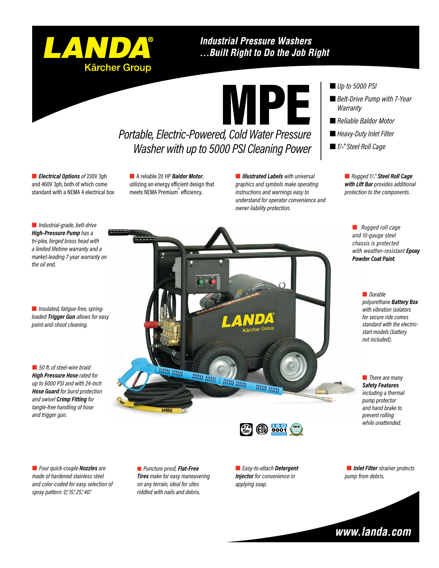

### **Industrial Pressure Washers** ... Built Right to Do the Job Right



**Electrical Options** of 230V 3ph and 460V 3ph, both of which come standard with a NEMA 4 electrical box **n** A reliable 20 HP **Baldor Motor**, utilizing an energy efficient design that meets NEMA Premium<sup>®</sup> efficiency.

**n** *Illustrated Labels with universal graphics and symbols make operating instructions and warnings easy to understand for operator convenience and owner liability protection.*

### ■ *Up to 5000 PSI*

- *Belt-Drive Pump with 7-Year Warranty*
- *Reliable Baldor Motor*
- Heavy-Duty Inlet Filter
- n *1 1 /4" Steel Roll Cage*

n *Rugged 11 /4" Steel Roll Cage with Lift Bar provides additional protection to the components.*

> **n** *Rugged roll cage and 10-gauge steel chassis is protected with weather-resistant Epoxy Powder Coat Paint.*

> > n *Durable polyurethane Battery Box with vibration isolators for secure ride comes standard with the electricstart models (battery not included).*

**n** *There are many Safety Features including a thermal pump protector and hand brake to prevent rolling while unattended.*

n *Industrial-grade, belt-drive High-Pressure Pump has a tri-plex, forged brass head with a limited lifetime warranty and a market-leading 7-year warranty on the oil end.*

**n** *Insulated, fatigue-free, springloaded Trigger Gun allows for easy point-and-shoot cleaning.*

■ 50 ft. of steel-wire braid *High Pressure Hose rated for up to 6000 PSI and with 24-inch Hose Guard for burst protection and swivel Crimp Fitting for tangle-free handling of hose and trigger gun.*

**BB BBB** HHH HHH **HEAD HEAD HHH HHH** 



n *Four quick-couple Nozzles are made of hardened stainless steel and color-coded for easy selection of spray pattern: 0°, 15°, 25°, 40°.*

 *Puncture proof, Flat-Free Tires make for easy maneuvering on any terrain, ideal for sites riddled with nails and debris.*

n *Easy-to-attach Detergent Injector for convenience in applying soap.*

**n** *Inlet Filter* strainer protects *pump from debris.*